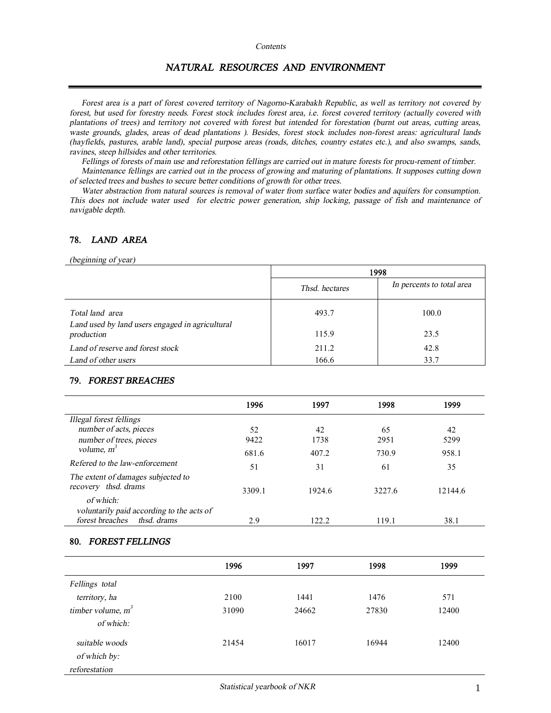#### *Contents*

# *NATURAL RESOURCES AND ENVIRONMENT*

Forest area is a part of forest covered territory of Nagorno-Karabakh Republic, as well as territory not covered by forest, but used for forestry needs. Forest stock includes forest area, i.e. forest covered territory (actually covered with plantations of trees) and territory not covered with forest but intended for forestation (burnt out areas, cutting areas, waste grounds, glades, areas of dead plantations). Besides, forest stock includes non-forest areas: agricultural lands (hayfields, pastures, arable land), special purpose areas (roads, ditches, country estates etc.), and also swamps, sands, *ravines, steep hillsides and other territories.* 

Fellings of forests of main use and reforestation fellings are carried out in mature forests for procu-rement of timber. Maintenance fellings are carried out in the process of growing and maturing of plantations. It supposes cutting down *of selected trees and bushes to secure better conditions of growth for other trees.* 

Water abstraction from natural sources is removal of water from surface water bodies and aquifers for consumption. This does not include water used for electric power generation, ship locking, passage of fish and maintenance of *navigable depth.* 

## **78.** *LAND AREA*

*(beginning of year)* 

|                                                                    | 1998           |                           |  |
|--------------------------------------------------------------------|----------------|---------------------------|--|
|                                                                    | Thsd. hectares | In percents to total area |  |
| Total land area<br>Land used by land users engaged in agricultural | 493.7          | 100.0                     |  |
| production                                                         | 115.9          | 23.5                      |  |
| Land of reserve and forest stock                                   | 211.2          | 42.8                      |  |
| Land of other users                                                | 166.6          | 33.7                      |  |

### **79.** *FOREST BREACHES*

|                                                            | 1996   | 1997   | 1998   | 1999    |
|------------------------------------------------------------|--------|--------|--------|---------|
| Illegal forest fellings                                    |        |        |        |         |
| number of acts, pieces                                     | 52     | 42     | 65     | 42      |
| number of trees, pieces                                    | 9422   | 1738   | 2951   | 5299    |
| volume, $m^3$                                              | 681.6  | 407.2  | 730.9  | 958.1   |
| Refered to the law-enforcement                             | 51     | 31     | 61     | 35      |
| The extent of damages subjected to<br>recovery thsd. drams | 3309.1 | 1924.6 | 3227.6 | 12144.6 |
| of which:<br>voluntarily paid according to the acts of     |        |        |        |         |
| forest breaches the drams                                  | 2.9    | 122.2. | 119.1  | 38.1    |

#### **80.** *FOREST FELLINGS*

|                                                 | 1996  | 1997  | 1998  | 1999  |
|-------------------------------------------------|-------|-------|-------|-------|
| Fellings total                                  |       |       |       |       |
| territory, ha                                   | 2100  | 1441  | 1476  | 571   |
| timber volume, $m^3$<br>of which:               | 31090 | 24662 | 27830 | 12400 |
| suitable woods<br>of which by:<br>reforestation | 21454 | 16017 | 16944 | 12400 |